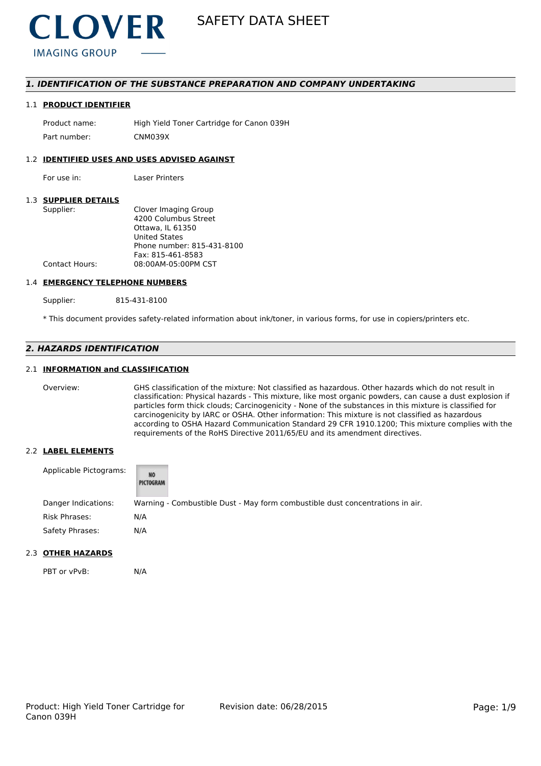

# *1. IDENTIFICATION OF THE SUBSTANCE PREPARATION AND COMPANY UNDERTAKING*

#### 1.1 **PRODUCT IDENTIFIER**

Product name: High Yield Toner Cartridge for Canon 039H Part number: CNM039X

### 1.2 **IDENTIFIED USES AND USES ADVISED AGAINST**

For use in: Laser Printers

### 1.3 **SUPPLIER DETAILS**

| Supplier:             | Clover Imaging Group       |
|-----------------------|----------------------------|
|                       | 4200 Columbus Street       |
|                       | Ottawa. IL 61350           |
|                       | <b>United States</b>       |
|                       | Phone number: 815-431-8100 |
|                       | Fax: 815-461-8583          |
| <b>Contact Hours:</b> | 08:00AM-05:00PM CST        |
|                       |                            |

#### 1.4 **EMERGENCY TELEPHONE NUMBERS**

Supplier: 815-431-8100

\* This document provides safety-related information about ink/toner, in various forms, for use in copiers/printers etc.

# *2. HAZARDS IDENTIFICATION*

## 2.1 **INFORMATION and CLASSIFICATION**

Overview: GHS classification of the mixture: Not classified as hazardous. Other hazards which do not result in classification: Physical hazards - This mixture, like most organic powders, can cause a dust explosion if particles form thick clouds; Carcinogenicity - None of the substances in this mixture is classified for carcinogenicity by IARC or OSHA. Other information: This mixture is not classified as hazardous according to OSHA Hazard Communication Standard 29 CFR 1910.1200; This mixture complies with the requirements of the RoHS Directive 2011/65/EU and its amendment directives.

### 2.2 **LABEL ELEMENTS**

| Applicable Pictograms: | <b>NO</b><br>PICTOGRAM |                                                                               |
|------------------------|------------------------|-------------------------------------------------------------------------------|
| Danger Indications:    |                        | Warning - Combustible Dust - May form combustible dust concentrations in air. |
| Risk Phrases:          | N/A                    |                                                                               |
| Safety Phrases:        | N/A                    |                                                                               |

#### 2.3 **OTHER HAZARDS**

PBT or vPvB: N/A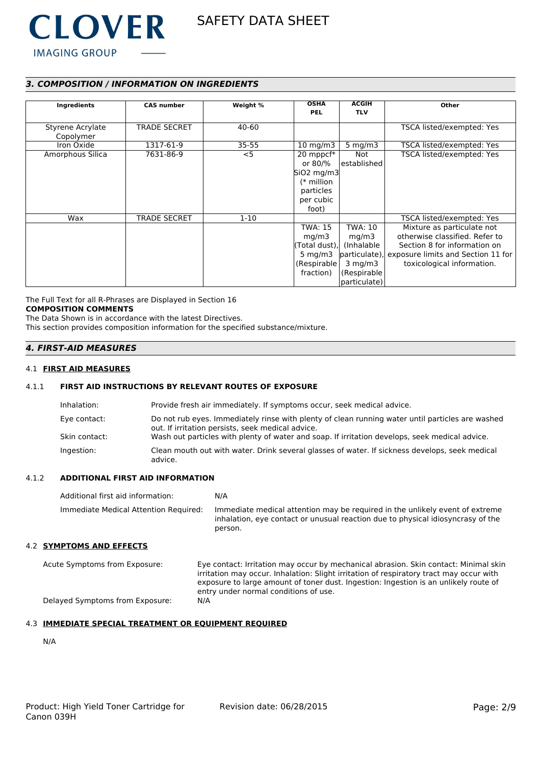

# *3. COMPOSITION / INFORMATION ON INGREDIENTS*

| Ingredients      | <b>CAS number</b>   | Weight %  | <b>OSHA</b>       | <b>ACGIH</b>    | Other                                            |
|------------------|---------------------|-----------|-------------------|-----------------|--------------------------------------------------|
|                  |                     |           | <b>PEL</b>        | <b>TLV</b>      |                                                  |
|                  |                     |           |                   |                 |                                                  |
| Styrene Acrylate | <b>TRADE SECRET</b> | 40-60     |                   |                 | TSCA listed/exempted: Yes                        |
| Copolymer        |                     |           |                   |                 |                                                  |
| Iron Oxide       | 1317-61-9           | $35 - 55$ | $10 \text{ mg/m}$ | 5 $mg/m3$       | TSCA listed/exempted: Yes                        |
| Amorphous Silica | 7631-86-9           | $<$ 5     | 20 mppcf*         | Not             | TSCA listed/exempted: Yes                        |
|                  |                     |           | or 80/%           | l established l |                                                  |
|                  |                     |           | $SiO2$ mg/m3      |                 |                                                  |
|                  |                     |           | $(*$ million      |                 |                                                  |
|                  |                     |           | particles         |                 |                                                  |
|                  |                     |           | per cubic         |                 |                                                  |
|                  |                     |           | foot)             |                 |                                                  |
| Wax              | <b>TRADE SECRET</b> | $1 - 10$  |                   |                 | TSCA listed/exempted: Yes                        |
|                  |                     |           | <b>TWA: 15</b>    | TWA: 10         | Mixture as particulate not                       |
|                  |                     |           | mq/m3             | mg/m3           | otherwise classified. Refer to                   |
|                  |                     |           | (Total dust),     | (Inhalable)     | Section 8 for information on                     |
|                  |                     |           | 5 mg/m $3$        |                 | particulate), exposure limits and Section 11 for |
|                  |                     |           | (Respirable)      | $3$ mg/m $3$    | toxicological information.                       |
|                  |                     |           | fraction)         | (Respirable)    |                                                  |
|                  |                     |           |                   | particulate)    |                                                  |

The Full Text for all R-Phrases are Displayed in Section 16

# **COMPOSITION COMMENTS**

The Data Shown is in accordance with the latest Directives.

This section provides composition information for the specified substance/mixture.

# *4. FIRST-AID MEASURES*

# 4.1 **FIRST AID MEASURES**

# 4.1.1 **FIRST AID INSTRUCTIONS BY RELEVANT ROUTES OF EXPOSURE**

| Inhalation:   | Provide fresh air immediately. If symptoms occur, seek medical advice.                                                                                |
|---------------|-------------------------------------------------------------------------------------------------------------------------------------------------------|
| Eye contact:  | Do not rub eyes. Immediately rinse with plenty of clean running water until particles are washed<br>out. If irritation persists, seek medical advice. |
| Skin contact: | Wash out particles with plenty of water and soap. If irritation develops, seek medical advice.                                                        |
| Ingestion:    | Clean mouth out with water. Drink several glasses of water. If sickness develops, seek medical<br>advice.                                             |

### 4.1.2 **ADDITIONAL FIRST AID INFORMATION**

Additional first aid information: N/A Immediate Medical Attention Required: Immediate medical attention may be required in the unlikely event of extreme inhalation, eye contact or unusual reaction due to physical idiosyncrasy of the person.

## 4.2 **SYMPTOMS AND EFFECTS**

| Acute Symptoms from Exposure:   | Eye contact: Irritation may occur by mechanical abrasion. Skin contact: Minimal skin    |
|---------------------------------|-----------------------------------------------------------------------------------------|
|                                 | irritation may occur. Inhalation: Slight irritation of respiratory tract may occur with |
|                                 | exposure to large amount of toner dust. Ingestion: Ingestion is an unlikely route of    |
|                                 | entry under normal conditions of use.                                                   |
| Delayed Symptoms from Exposure: | N/A                                                                                     |

# 4.3 **IMMEDIATE SPECIAL TREATMENT OR EQUIPMENT REQUIRED**

N/A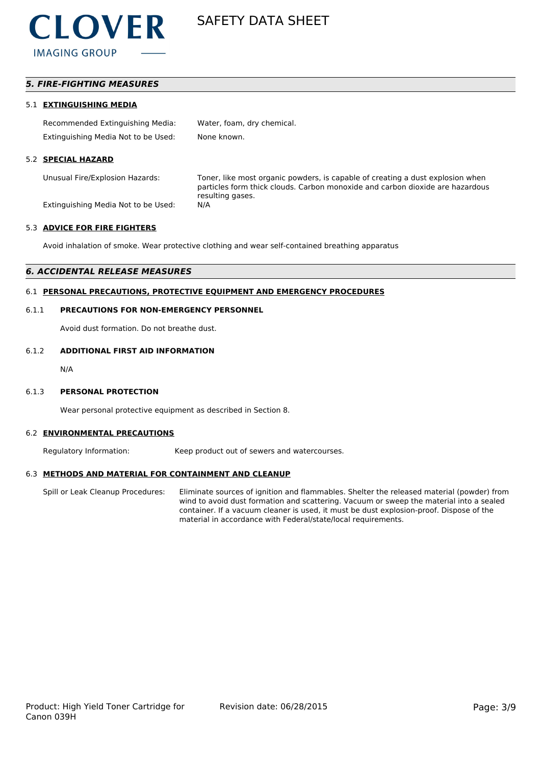

# *5. FIRE-FIGHTING MEASURES*

#### 5.1 **EXTINGUISHING MEDIA**

| Recommended Extinguishing Media:    | Water, foam, dry chemical. |
|-------------------------------------|----------------------------|
| Extinguishing Media Not to be Used: | None known.                |

#### 5.2 **SPECIAL HAZARD**

Unusual Fire/Explosion Hazards: Toner, like most organic powders, is capable of creating a dust explosion when particles form thick clouds. Carbon monoxide and carbon dioxide are hazardous resulting gases.

Extinguishing Media Not to be Used: N/A

#### 5.3 **ADVICE FOR FIRE FIGHTERS**

Avoid inhalation of smoke. Wear protective clothing and wear self-contained breathing apparatus

## *6. ACCIDENTAL RELEASE MEASURES*

### 6.1 **PERSONAL PRECAUTIONS, PROTECTIVE EQUIPMENT AND EMERGENCY PROCEDURES**

#### 6.1.1 **PRECAUTIONS FOR NON-EMERGENCY PERSONNEL**

Avoid dust formation. Do not breathe dust.

#### 6.1.2 **ADDITIONAL FIRST AID INFORMATION**

N/A

#### 6.1.3 **PERSONAL PROTECTION**

Wear personal protective equipment as described in Section 8.

#### 6.2 **ENVIRONMENTAL PRECAUTIONS**

Regulatory Information: Keep product out of sewers and watercourses.

### 6.3 **METHODS AND MATERIAL FOR CONTAINMENT AND CLEANUP**

Spill or Leak Cleanup Procedures: Eliminate sources of ignition and flammables. Shelter the released material (powder) from wind to avoid dust formation and scattering. Vacuum or sweep the material into a sealed container. If a vacuum cleaner is used, it must be dust explosion-proof. Dispose of the material in accordance with Federal/state/local requirements.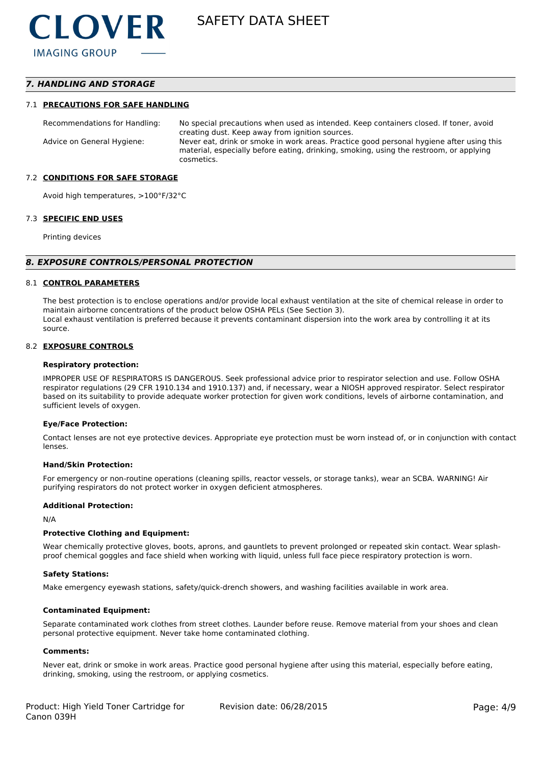# *7. HANDLING AND STORAGE*

#### 7.1 **PRECAUTIONS FOR SAFE HANDLING**

Recommendations for Handling: No special precautions when used as intended. Keep containers closed. If toner, avoid creating dust. Keep away from ignition sources. Advice on General Hygiene: Never eat, drink or smoke in work areas. Practice good personal hygiene after using this material, especially before eating, drinking, smoking, using the restroom, or applying cosmetics.

#### 7.2 **CONDITIONS FOR SAFE STORAGE**

Avoid high temperatures, >100°F/32°C

#### 7.3 **SPECIFIC END USES**

Printing devices

#### *8. EXPOSURE CONTROLS/PERSONAL PROTECTION*

#### 8.1 **CONTROL PARAMETERS**

The best protection is to enclose operations and/or provide local exhaust ventilation at the site of chemical release in order to maintain airborne concentrations of the product below OSHA PELs (See Section 3). Local exhaust ventilation is preferred because it prevents contaminant dispersion into the work area by controlling it at its source.

#### 8.2 **EXPOSURE CONTROLS**

#### **Respiratory protection:**

IMPROPER USE OF RESPIRATORS IS DANGEROUS. Seek professional advice prior to respirator selection and use. Follow OSHA respirator regulations (29 CFR 1910.134 and 1910.137) and, if necessary, wear a NIOSH approved respirator. Select respirator based on its suitability to provide adequate worker protection for given work conditions, levels of airborne contamination, and sufficient levels of oxygen.

#### **Eye/Face Protection:**

Contact lenses are not eye protective devices. Appropriate eye protection must be worn instead of, or in conjunction with contact lenses.

#### **Hand/Skin Protection:**

For emergency or non-routine operations (cleaning spills, reactor vessels, or storage tanks), wear an SCBA. WARNING! Air purifying respirators do not protect worker in oxygen deficient atmospheres.

#### **Additional Protection:**

N/A

#### **Protective Clothing and Equipment:**

Wear chemically protective gloves, boots, aprons, and gauntlets to prevent prolonged or repeated skin contact. Wear splashproof chemical goggles and face shield when working with liquid, unless full face piece respiratory protection is worn.

#### **Safety Stations:**

Make emergency eyewash stations, safety/quick-drench showers, and washing facilities available in work area.

#### **Contaminated Equipment:**

Separate contaminated work clothes from street clothes. Launder before reuse. Remove material from your shoes and clean personal protective equipment. Never take home contaminated clothing.

#### **Comments:**

Never eat, drink or smoke in work areas. Practice good personal hygiene after using this material, especially before eating, drinking, smoking, using the restroom, or applying cosmetics.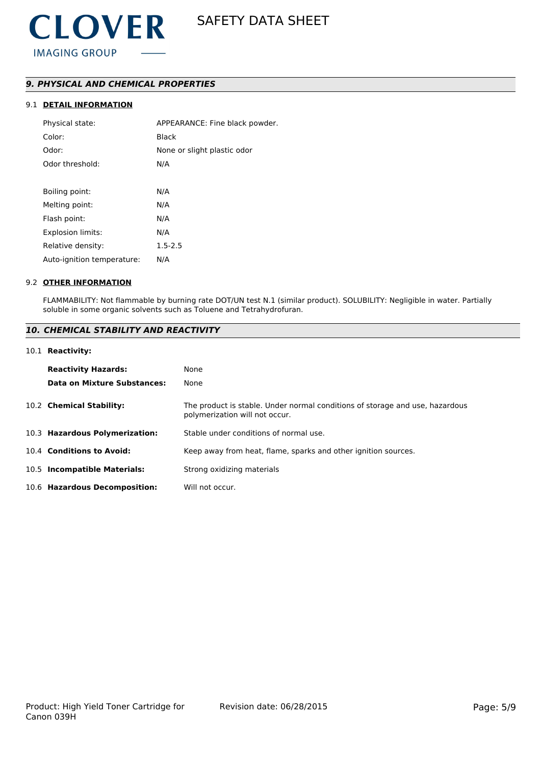# *9. PHYSICAL AND CHEMICAL PROPERTIES*

# 9.1 **DETAIL INFORMATION**

| Physical state:            | APPEARANCE: Fine black powder. |
|----------------------------|--------------------------------|
| Color:                     | Black                          |
| Odor:                      | None or slight plastic odor    |
| Odor threshold:            | N/A                            |
|                            |                                |
| Boiling point:             | N/A                            |
| Melting point:             | N/A                            |
| Flash point:               | N/A                            |
| Explosion limits:          | N/A                            |
| Relative density:          | $1.5 - 2.5$                    |
| Auto-ignition temperature: | N/A                            |
|                            |                                |

### 9.2 **OTHER INFORMATION**

FLAMMABILITY: Not flammable by burning rate DOT/UN test N.1 (similar product). SOLUBILITY: Negligible in water. Partially soluble in some organic solvents such as Toluene and Tetrahydrofuran.

# *10. CHEMICAL STABILITY AND REACTIVITY*

#### 10.1 **Reactivity:**

| <b>Reactivity Hazards:</b>     | None                                                                                                           |
|--------------------------------|----------------------------------------------------------------------------------------------------------------|
| Data on Mixture Substances:    | None                                                                                                           |
| 10.2 Chemical Stability:       | The product is stable. Under normal conditions of storage and use, hazardous<br>polymerization will not occur. |
| 10.3 Hazardous Polymerization: | Stable under conditions of normal use.                                                                         |
| 10.4 Conditions to Avoid:      | Keep away from heat, flame, sparks and other ignition sources.                                                 |
| 10.5 Incompatible Materials:   | Strong oxidizing materials                                                                                     |
| 10.6 Hazardous Decomposition:  | Will not occur.                                                                                                |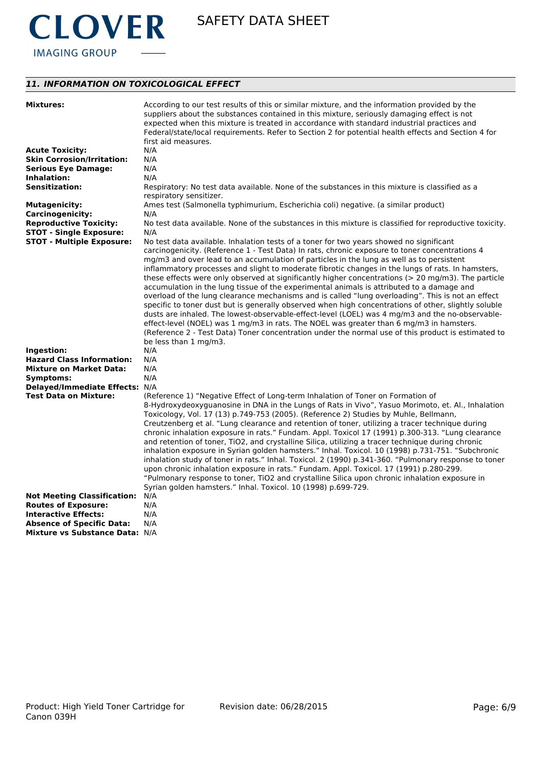

# *11. INFORMATION ON TOXICOLOGICAL EFFECT*

| <b>Mixtures:</b>                                               | According to our test results of this or similar mixture, and the information provided by the                                                                                        |
|----------------------------------------------------------------|--------------------------------------------------------------------------------------------------------------------------------------------------------------------------------------|
|                                                                | suppliers about the substances contained in this mixture, seriously damaging effect is not                                                                                           |
|                                                                | expected when this mixture is treated in accordance with standard industrial practices and                                                                                           |
|                                                                | Federal/state/local requirements. Refer to Section 2 for potential health effects and Section 4 for                                                                                  |
|                                                                | first aid measures.                                                                                                                                                                  |
| <b>Acute Toxicity:</b>                                         | N/A                                                                                                                                                                                  |
| <b>Skin Corrosion/Irritation:</b>                              | N/A                                                                                                                                                                                  |
| <b>Serious Eye Damage:</b>                                     | N/A                                                                                                                                                                                  |
| Inhalation:                                                    | N/A                                                                                                                                                                                  |
| <b>Sensitization:</b>                                          | Respiratory: No test data available. None of the substances in this mixture is classified as a                                                                                       |
|                                                                | respiratory sensitizer.                                                                                                                                                              |
| <b>Mutagenicity:</b>                                           | Ames test (Salmonella typhimurium, Escherichia coli) negative. (a similar product)                                                                                                   |
| <b>Carcinogenicity:</b>                                        | N/A                                                                                                                                                                                  |
| <b>Reproductive Toxicity:</b>                                  | No test data available. None of the substances in this mixture is classified for reproductive toxicity.                                                                              |
| <b>STOT - Single Exposure:</b>                                 | N/A                                                                                                                                                                                  |
| <b>STOT - Multiple Exposure:</b>                               | No test data available. Inhalation tests of a toner for two years showed no significant                                                                                              |
|                                                                | carcinogenicity. (Reference 1 - Test Data) In rats, chronic exposure to toner concentrations 4                                                                                       |
|                                                                | mg/m3 and over lead to an accumulation of particles in the lung as well as to persistent                                                                                             |
|                                                                | inflammatory processes and slight to moderate fibrotic changes in the lungs of rats. In hamsters,                                                                                    |
|                                                                | these effects were only observed at significantly higher concentrations (> 20 mg/m3). The particle                                                                                   |
|                                                                | accumulation in the lung tissue of the experimental animals is attributed to a damage and                                                                                            |
|                                                                | overload of the lung clearance mechanisms and is called "lung overloading". This is not an effect                                                                                    |
|                                                                | specific to toner dust but is generally observed when high concentrations of other, slightly soluble                                                                                 |
|                                                                |                                                                                                                                                                                      |
|                                                                | dusts are inhaled. The lowest-observable-effect-level (LOEL) was 4 mg/m3 and the no-observable-                                                                                      |
|                                                                | effect-level (NOEL) was 1 mg/m3 in rats. The NOEL was greater than 6 mg/m3 in hamsters.                                                                                              |
|                                                                | (Reference 2 - Test Data) Toner concentration under the normal use of this product is estimated to                                                                                   |
|                                                                | be less than 1 mg/m3.                                                                                                                                                                |
| Ingestion:                                                     | N/A                                                                                                                                                                                  |
| <b>Hazard Class Information:</b>                               | N/A                                                                                                                                                                                  |
| <b>Mixture on Market Data:</b>                                 | N/A<br>N/A                                                                                                                                                                           |
| Symptoms:                                                      |                                                                                                                                                                                      |
| Delayed/Immediate Effects: N/A<br><b>Test Data on Mixture:</b> |                                                                                                                                                                                      |
|                                                                | (Reference 1) "Negative Effect of Long-term Inhalation of Toner on Formation of<br>8-Hydroxydeoxyguanosine in DNA in the Lungs of Rats in Vivo", Yasuo Morimoto, et. Al., Inhalation |
|                                                                |                                                                                                                                                                                      |
|                                                                | Toxicology, Vol. 17 (13) p.749-753 (2005). (Reference 2) Studies by Muhle, Bellmann,                                                                                                 |
|                                                                | Creutzenberg et al. "Lung clearance and retention of toner, utilizing a tracer technique during                                                                                      |
|                                                                | chronic inhalation exposure in rats." Fundam. Appl. Toxicol 17 (1991) p.300-313. "Lung clearance                                                                                     |
|                                                                | and retention of toner, TiO2, and crystalline Silica, utilizing a tracer technique during chronic                                                                                    |
|                                                                | inhalation exposure in Syrian golden hamsters." Inhal. Toxicol. 10 (1998) p.731-751. "Subchronic                                                                                     |
|                                                                | inhalation study of toner in rats." Inhal. Toxicol. 2 (1990) p.341-360. "Pulmonary response to toner                                                                                 |
|                                                                | upon chronic inhalation exposure in rats." Fundam. Appl. Toxicol. 17 (1991) p.280-299.                                                                                               |
|                                                                | "Pulmonary response to toner, TiO2 and crystalline Silica upon chronic inhalation exposure in                                                                                        |
|                                                                | Syrian golden hamsters." Inhal. Toxicol. 10 (1998) p.699-729.                                                                                                                        |
| <b>Not Meeting Classification:</b>                             | N/A                                                                                                                                                                                  |
| <b>Routes of Exposure:</b>                                     | N/A                                                                                                                                                                                  |
| <b>Interactive Effects:</b>                                    | N/A                                                                                                                                                                                  |
| <b>Absence of Specific Data:</b>                               | N/A                                                                                                                                                                                  |
| Mixture vs Substance Data: N/A                                 |                                                                                                                                                                                      |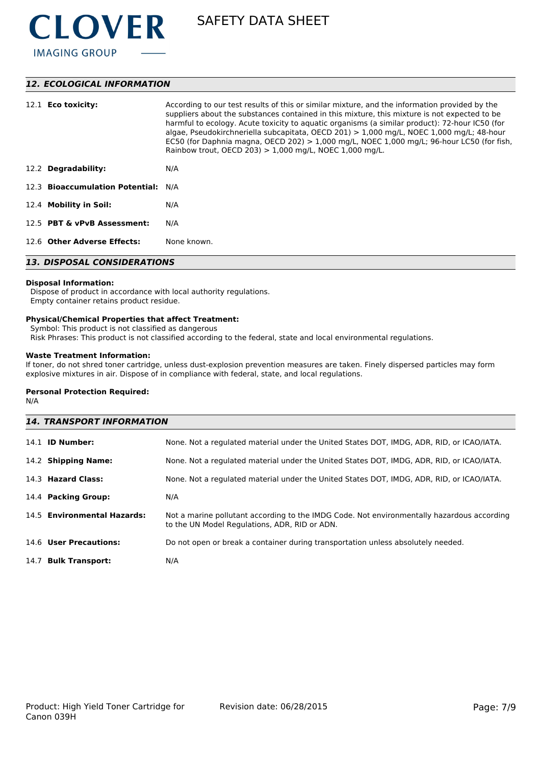

# *12. ECOLOGICAL INFORMATION*

| 12.1 <b>Eco toxicity:</b>           | According to our test results of this or similar mixture, and the information provided by the<br>suppliers about the substances contained in this mixture, this mixture is not expected to be<br>harmful to ecology. Acute toxicity to aquatic organisms (a similar product): 72-hour IC50 (for<br>algae, Pseudokirchneriella subcapitata, OECD 201) $> 1,000$ mg/L, NOEC 1,000 mg/L; 48-hour<br>EC50 (for Daphnia magna, OECD 202) $> 1,000$ mg/L, NOEC 1,000 mg/L; 96-hour LC50 (for fish,<br>Rainbow trout, OECD 203) $> 1,000$ mg/L, NOEC 1,000 mg/L. |  |
|-------------------------------------|-----------------------------------------------------------------------------------------------------------------------------------------------------------------------------------------------------------------------------------------------------------------------------------------------------------------------------------------------------------------------------------------------------------------------------------------------------------------------------------------------------------------------------------------------------------|--|
| 12.2 Degradability:                 | N/A                                                                                                                                                                                                                                                                                                                                                                                                                                                                                                                                                       |  |
| 12.3 Bioaccumulation Potential: N/A |                                                                                                                                                                                                                                                                                                                                                                                                                                                                                                                                                           |  |
| 12.4 Mobility in Soil:              | N/A                                                                                                                                                                                                                                                                                                                                                                                                                                                                                                                                                       |  |
| 12.5 PBT & vPvB Assessment:         | N/A                                                                                                                                                                                                                                                                                                                                                                                                                                                                                                                                                       |  |
| 12.6 Other Adverse Effects:         | None known.                                                                                                                                                                                                                                                                                                                                                                                                                                                                                                                                               |  |
| <b>13. DISPOSAL CONSIDERATIONS</b>  |                                                                                                                                                                                                                                                                                                                                                                                                                                                                                                                                                           |  |

#### **Disposal Information:**

 Dispose of product in accordance with local authority regulations. Empty container retains product residue.

## **Physical/Chemical Properties that affect Treatment:**

Symbol: This product is not classified as dangerous

Risk Phrases: This product is not classified according to the federal, state and local environmental regulations.

# **Waste Treatment Information:**

If toner, do not shred toner cartridge, unless dust-explosion prevention measures are taken. Finely dispersed particles may form explosive mixtures in air. Dispose of in compliance with federal, state, and local regulations.

#### **Personal Protection Required:**

N/A

| <b>14. TRANSPORT INFORMATION</b> |                                                                                                                                             |  |
|----------------------------------|---------------------------------------------------------------------------------------------------------------------------------------------|--|
| 14.1 <b>ID Number:</b>           | None. Not a regulated material under the United States DOT, IMDG, ADR, RID, or ICAO/IATA.                                                   |  |
| 14.2 Shipping Name:              | None. Not a regulated material under the United States DOT, IMDG, ADR, RID, or ICAO/IATA.                                                   |  |
| 14.3 Hazard Class:               | None. Not a regulated material under the United States DOT, IMDG, ADR, RID, or ICAO/IATA.                                                   |  |
| 14.4 Packing Group:              | N/A                                                                                                                                         |  |
| 14.5 Environmental Hazards:      | Not a marine pollutant according to the IMDG Code. Not environmentally hazardous according<br>to the UN Model Regulations, ADR, RID or ADN. |  |
| 14.6 User Precautions:           | Do not open or break a container during transportation unless absolutely needed.                                                            |  |
| 14.7 Bulk Transport:             | N/A                                                                                                                                         |  |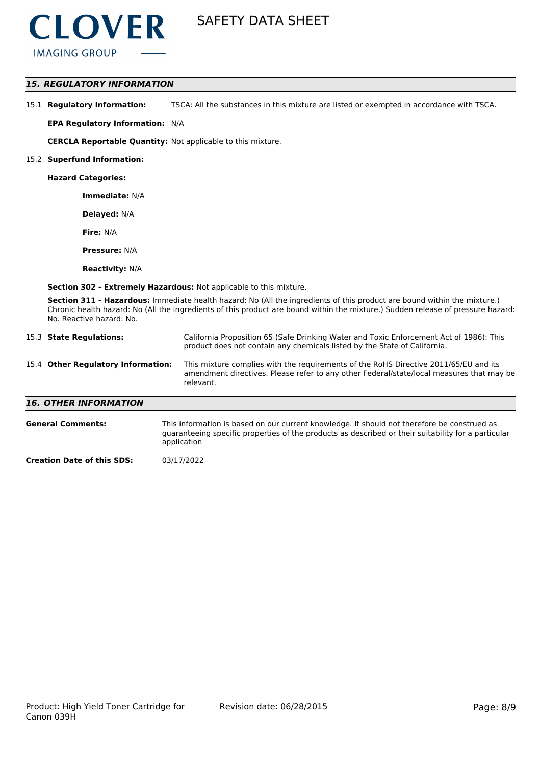

## *15. REGULATORY INFORMATION*

| 15.1 Regulatory Information: | TSCA: All the substances in this mixture are listed or exempted in accordance with TSCA. |
|------------------------------|------------------------------------------------------------------------------------------|
|------------------------------|------------------------------------------------------------------------------------------|

**EPA Regulatory Information:** N/A

**CERCLA Reportable Quantity:** Not applicable to this mixture.

#### 15.2 **Superfund Information:**

**Hazard Categories:**

**Immediate:** N/A

**Delayed:** N/A

**Fire:** N/A

**Pressure:** N/A

**Reactivity:** N/A

**Section 302 - Extremely Hazardous:** Not applicable to this mixture.

application

**Section 311 - Hazardous:** Immediate health hazard: No (All the ingredients of this product are bound within the mixture.) Chronic health hazard: No (All the ingredients of this product are bound within the mixture.) Sudden release of pressure hazard: No. Reactive hazard: No.

| 15.3 State Regulations: |                                                                                                                                                                                                                                | California Proposition 65 (Safe Drinking Water and Toxic Enforcement Act of 1986): This<br>product does not contain any chemicals listed by the State of California.                          |  |
|-------------------------|--------------------------------------------------------------------------------------------------------------------------------------------------------------------------------------------------------------------------------|-----------------------------------------------------------------------------------------------------------------------------------------------------------------------------------------------|--|
|                         | 15.4 Other Regulatory Information:                                                                                                                                                                                             | This mixture complies with the requirements of the RoHS Directive 2011/65/EU and its<br>amendment directives. Please refer to any other Federal/state/local measures that may be<br>relevant. |  |
|                         | <b>16. OTHER INFORMATION</b>                                                                                                                                                                                                   |                                                                                                                                                                                               |  |
|                         | This information is based on our current knowledge. It should not therefore be construed as<br><b>General Comments:</b><br>guaranteeing specific properties of the products as described or their suitability for a particular |                                                                                                                                                                                               |  |

**Creation Date of this SDS:** 03/17/2022